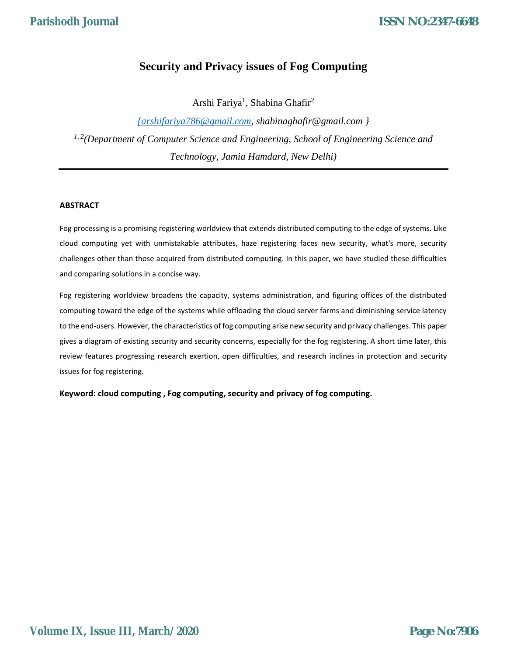# **Security and Privacy issues of Fog Computing**

Arshi Fariya<sup>1</sup>, Shabina Ghafir<sup>2</sup>

*{arshifariya786@gmail.com, shabinaghafir@gmail.com } 1, 2(Department of Computer Science and Engineering, School of Engineering Science and Technology, Jamia Hamdard, New Delhi)*

# **ABSTRACT**

Fog processing is a promising registering worldview that extends distributed computing to the edge of systems. Like cloud computing yet with unmistakable attributes, haze registering faces new security, what's more, security challenges other than those acquired from distributed computing. In this paper, we have studied these difficulties and comparing solutions in a concise way.

Fog registering worldview broadens the capacity, systems administration, and figuring offices of the distributed computing toward the edge of the systems while offloading the cloud server farms and diminishing service latency to the end-users. However, the characteristics of fog computing arise new security and privacy challenges. This paper gives a diagram of existing security and security concerns, especially for the fog registering. A short time later, this review features progressing research exertion, open difficulties, and research inclines in protection and security issues for fog registering.

**Keyword: cloud computing , Fog computing, security and privacy of fog computing.**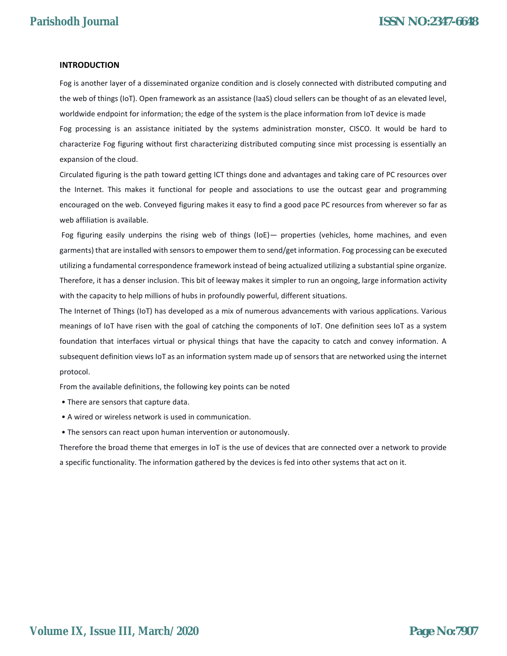#### **INTRODUCTION**

Fog is another layer of a disseminated organize condition and is closely connected with distributed computing and the web of things (IoT). Open framework as an assistance (IaaS) cloud sellers can be thought of as an elevated level, worldwide endpoint for information; the edge of the system is the place information from IoT device is made Fog processing is an assistance initiated by the systems administration monster, CISCO. It would be hard to characterize Fog figuring without first characterizing distributed computing since mist processing is essentially an expansion of the cloud.

Circulated figuring is the path toward getting ICT things done and advantages and taking care of PC resources over the Internet. This makes it functional for people and associations to use the outcast gear and programming encouraged on the web. Conveyed figuring makes it easy to find a good pace PC resources from wherever so far as web affiliation is available.

Fog figuring easily underpins the rising web of things (IoE)— properties (vehicles, home machines, and even garments) that are installed with sensors to empower them to send/get information. Fog processing can be executed utilizing a fundamental correspondence framework instead of being actualized utilizing a substantial spine organize. Therefore, it has a denser inclusion. This bit of leeway makes it simpler to run an ongoing, large information activity with the capacity to help millions of hubs in profoundly powerful, different situations.

The Internet of Things (IoT) has developed as a mix of numerous advancements with various applications. Various meanings of IoT have risen with the goal of catching the components of IoT. One definition sees IoT as a system foundation that interfaces virtual or physical things that have the capacity to catch and convey information. A subsequent definition views IoT as an information system made up of sensors that are networked using the internet protocol.

From the available definitions, the following key points can be noted

- There are sensors that capture data.
- A wired or wireless network is used in communication.
- The sensors can react upon human intervention or autonomously.

Therefore the broad theme that emerges in IoT is the use of devices that are connected over a network to provide a specific functionality. The information gathered by the devices is fed into other systems that act on it.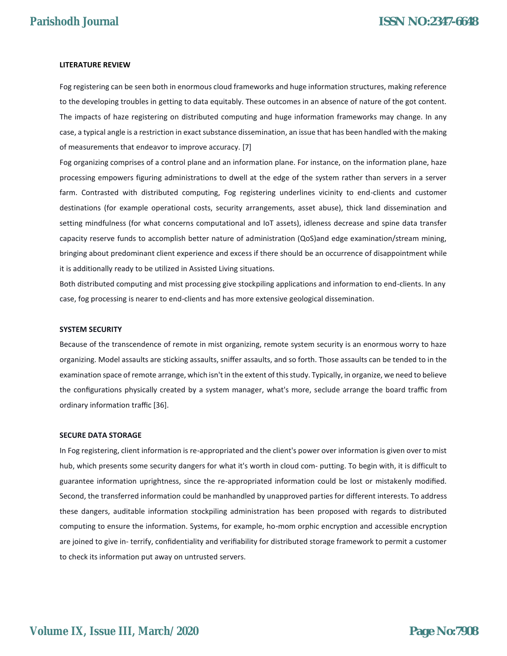#### **LITERATURE REVIEW**

Fog registering can be seen both in enormous cloud frameworks and huge information structures, making reference to the developing troubles in getting to data equitably. These outcomes in an absence of nature of the got content. The impacts of haze registering on distributed computing and huge information frameworks may change. In any case, a typical angle is a restriction in exact substance dissemination, an issue that has been handled with the making of measurements that endeavor to improve accuracy. [7]

Fog organizing comprises of a control plane and an information plane. For instance, on the information plane, haze processing empowers figuring administrations to dwell at the edge of the system rather than servers in a server farm. Contrasted with distributed computing, Fog registering underlines vicinity to end-clients and customer destinations (for example operational costs, security arrangements, asset abuse), thick land dissemination and setting mindfulness (for what concerns computational and IoT assets), idleness decrease and spine data transfer capacity reserve funds to accomplish better nature of administration (QoS)and edge examination/stream mining, bringing about predominant client experience and excess if there should be an occurrence of disappointment while it is additionally ready to be utilized in Assisted Living situations.

Both distributed computing and mist processing give stockpiling applications and information to end-clients. In any case, fog processing is nearer to end-clients and has more extensive geological dissemination.

#### **SYSTEM SECURITY**

Because of the transcendence of remote in mist organizing, remote system security is an enormous worry to haze organizing. Model assaults are sticking assaults, sniffer assaults, and so forth. Those assaults can be tended to in the examination space of remote arrange, which isn't in the extent of this study. Typically, in organize, we need to believe the configurations physically created by a system manager, what's more, seclude arrange the board traffic from ordinary information traffic [36].

#### **SECURE DATA STORAGE**

In Fog registering, client information is re-appropriated and the client's power over information is given over to mist hub, which presents some security dangers for what it's worth in cloud com- putting. To begin with, it is difficult to guarantee information uprightness, since the re-appropriated information could be lost or mistakenly modified. Second, the transferred information could be manhandled by unapproved parties for different interests. To address these dangers, auditable information stockpiling administration has been proposed with regards to distributed computing to ensure the information. Systems, for example, ho-mom orphic encryption and accessible encryption are joined to give in- terrify, confidentiality and verifiability for distributed storage framework to permit a customer to check its information put away on untrusted servers.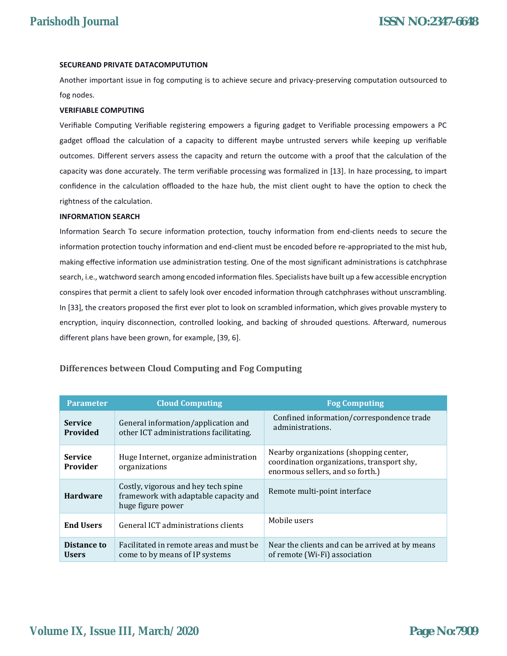#### **SECUREAND PRIVATE DATACOMPUTUTION**

Another important issue in fog computing is to achieve secure and privacy-preserving computation outsourced to fog nodes.

#### **VERIFIABLE COMPUTING**

Verifiable Computing Verifiable registering empowers a figuring gadget to Verifiable processing empowers a PC gadget offload the calculation of a capacity to different maybe untrusted servers while keeping up verifiable outcomes. Different servers assess the capacity and return the outcome with a proof that the calculation of the capacity was done accurately. The term verifiable processing was formalized in [13]. In haze processing, to impart confidence in the calculation offloaded to the haze hub, the mist client ought to have the option to check the rightness of the calculation.

#### **INFORMATION SEARCH**

Information Search To secure information protection, touchy information from end-clients needs to secure the information protection touchy information and end-client must be encoded before re-appropriated to the mist hub, making effective information use administration testing. One of the most significant administrations is catchphrase search, i.e., watchword search among encoded information files. Specialists have built up a few accessible encryption conspires that permit a client to safely look over encoded information through catchphrases without unscrambling. In [33], the creators proposed the first ever plot to look on scrambled information, which gives provable mystery to encryption, inquiry disconnection, controlled looking, and backing of shrouded questions. Afterward, numerous different plans have been grown, for example, [39, 6].

| <b>Parameter</b>            | <b>Cloud Computing</b>                                                                            | <b>Fog Computing</b>                                                                                                     |
|-----------------------------|---------------------------------------------------------------------------------------------------|--------------------------------------------------------------------------------------------------------------------------|
| <b>Service</b><br>Provided  | General information/application and<br>other ICT administrations facilitating.                    | Confined information/correspondence trade<br>administrations.                                                            |
| <b>Service</b><br>Provider  | Huge Internet, organize administration<br>organizations                                           | Nearby organizations (shopping center,<br>coordination organizations, transport shy,<br>enormous sellers, and so forth.) |
| <b>Hardware</b>             | Costly, vigorous and hey tech spine<br>framework with adaptable capacity and<br>huge figure power | Remote multi-point interface                                                                                             |
| <b>End Users</b>            | General ICT administrations clients                                                               | Mobile users                                                                                                             |
| Distance to<br><b>Users</b> | Facilitated in remote areas and must be<br>come to by means of IP systems                         | Near the clients and can be arrived at by means<br>of remote (Wi-Fi) association                                         |

## **Differences between Cloud Computing and Fog Computing**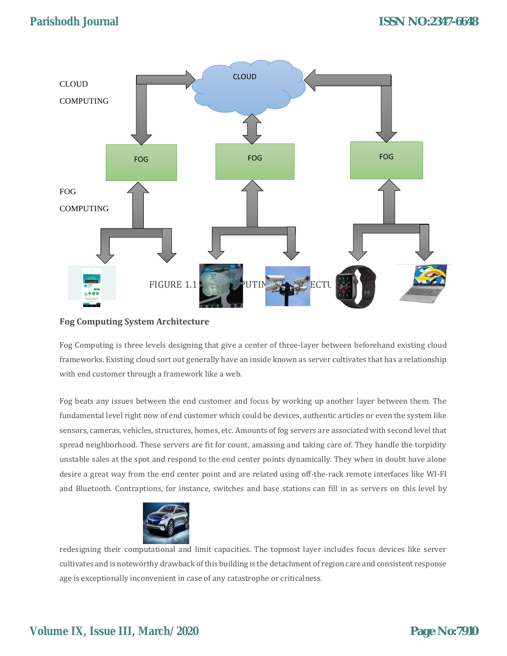

## **Fog Computing System Architecture**

Fog Computing is three levels designing that give a center of three-layer between beforehand existing cloud frameworks. Existing cloud sort out generally have an inside known as server cultivates that has a relationship with end customer through a framework like a web.

Fog beats any issues between the end customer and focus by working up another layer between them. The fundamental level right now of end customer which could be devices, authentic articles or even the system like sensors, cameras, vehicles, structures, homes, etc. Amounts of fog servers are associated with second level that spread neighborhood. These servers are fit for count, amassing and taking care of. They handle the torpidity unstable sales at the spot and respond to the end center points dynamically. They when in doubt have alone desire a great way from the end center point and are related using off-the-rack remote interfaces like WI-FI and Bluetooth. Contraptions, for instance, switches and base stations can fill in as servers on this level by



redesigning their computational and limit capacities. The topmost layer includes focus devices like server cultivates and is noteworthy drawback of this building is the detachment of region care and consistent response age is exceptionally inconvenient in case of any catastrophe or criticalness.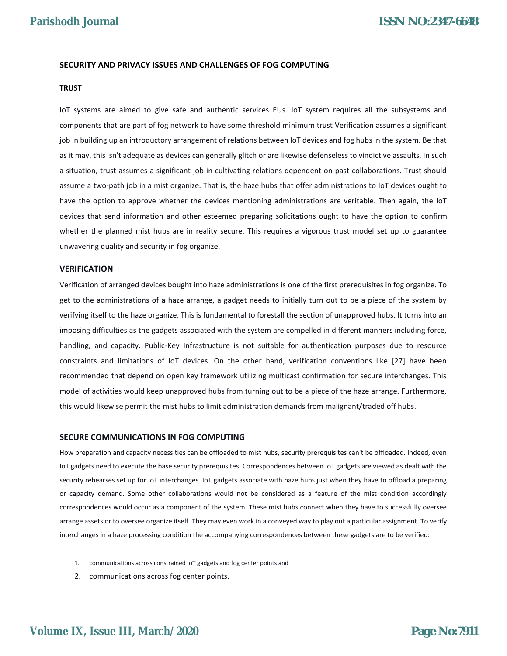#### **SECURITY AND PRIVACY ISSUES AND CHALLENGES OF FOG COMPUTING**

#### **TRUST**

IoT systems are aimed to give safe and authentic services EUs. IoT system requires all the subsystems and components that are part of fog network to have some threshold minimum trust Verification assumes a significant job in building up an introductory arrangement of relations between IoT devices and fog hubs in the system. Be that as it may, this isn't adequate as devices can generally glitch or are likewise defenseless to vindictive assaults. In such a situation, trust assumes a significant job in cultivating relations dependent on past collaborations. Trust should assume a two-path job in a mist organize. That is, the haze hubs that offer administrations to IoT devices ought to have the option to approve whether the devices mentioning administrations are veritable. Then again, the IoT devices that send information and other esteemed preparing solicitations ought to have the option to confirm whether the planned mist hubs are in reality secure. This requires a vigorous trust model set up to guarantee unwavering quality and security in fog organize.

#### **VERIFICATION**

Verification of arranged devices bought into haze administrations is one of the first prerequisites in fog organize. To get to the administrations of a haze arrange, a gadget needs to initially turn out to be a piece of the system by verifying itself to the haze organize. This is fundamental to forestall the section of unapproved hubs. It turns into an imposing difficulties as the gadgets associated with the system are compelled in different manners including force, handling, and capacity. Public-Key Infrastructure is not suitable for authentication purposes due to resource constraints and limitations of IoT devices. On the other hand, verification conventions like [27] have been recommended that depend on open key framework utilizing multicast confirmation for secure interchanges. This model of activities would keep unapproved hubs from turning out to be a piece of the haze arrange. Furthermore, this would likewise permit the mist hubs to limit administration demands from malignant/traded off hubs.

#### **SECURE COMMUNICATIONS IN FOG COMPUTING**

How preparation and capacity necessities can be offloaded to mist hubs, security prerequisites can't be offloaded. Indeed, even IoT gadgets need to execute the base security prerequisites. Correspondences between IoT gadgets are viewed as dealt with the security rehearses set up for IoT interchanges. IoT gadgets associate with haze hubs just when they have to offload a preparing or capacity demand. Some other collaborations would not be considered as a feature of the mist condition accordingly correspondences would occur as a component of the system. These mist hubs connect when they have to successfully oversee arrange assets or to oversee organize itself. They may even work in a conveyed way to play out a particular assignment. To verify interchanges in a haze processing condition the accompanying correspondences between these gadgets are to be verified:

- 1. communications across constrained IoT gadgets and fog center points and
- 2. communications across fog center points.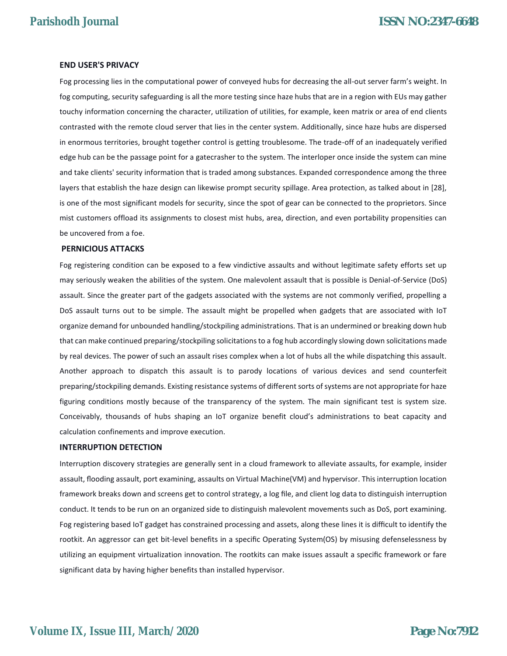#### **END USER'S PRIVACY**

Fog processing lies in the computational power of conveyed hubs for decreasing the all-out server farm's weight. In fog computing, security safeguarding is all the more testing since haze hubs that are in a region with EUs may gather touchy information concerning the character, utilization of utilities, for example, keen matrix or area of end clients contrasted with the remote cloud server that lies in the center system. Additionally, since haze hubs are dispersed in enormous territories, brought together control is getting troublesome. The trade-off of an inadequately verified edge hub can be the passage point for a gatecrasher to the system. The interloper once inside the system can mine and take clients' security information that is traded among substances. Expanded correspondence among the three layers that establish the haze design can likewise prompt security spillage. Area protection, as talked about in [28], is one of the most significant models for security, since the spot of gear can be connected to the proprietors. Since mist customers offload its assignments to closest mist hubs, area, direction, and even portability propensities can be uncovered from a foe.

#### **PERNICIOUS ATTACKS**

Fog registering condition can be exposed to a few vindictive assaults and without legitimate safety efforts set up may seriously weaken the abilities of the system. One malevolent assault that is possible is Denial-of-Service (DoS) assault. Since the greater part of the gadgets associated with the systems are not commonly verified, propelling a DoS assault turns out to be simple. The assault might be propelled when gadgets that are associated with IoT organize demand for unbounded handling/stockpiling administrations. That is an undermined or breaking down hub that can make continued preparing/stockpiling solicitations to a fog hub accordingly slowing down solicitations made by real devices. The power of such an assault rises complex when a lot of hubs all the while dispatching this assault. Another approach to dispatch this assault is to parody locations of various devices and send counterfeit preparing/stockpiling demands. Existing resistance systems of different sorts of systems are not appropriate for haze figuring conditions mostly because of the transparency of the system. The main significant test is system size. Conceivably, thousands of hubs shaping an IoT organize benefit cloud's administrations to beat capacity and calculation confinements and improve execution.

#### **INTERRUPTION DETECTION**

Interruption discovery strategies are generally sent in a cloud framework to alleviate assaults, for example, insider assault, flooding assault, port examining, assaults on Virtual Machine(VM) and hypervisor. This interruption location framework breaks down and screens get to control strategy, a log file, and client log data to distinguish interruption conduct. It tends to be run on an organized side to distinguish malevolent movements such as DoS, port examining. Fog registering based IoT gadget has constrained processing and assets, along these lines it is difficult to identify the rootkit. An aggressor can get bit-level benefits in a specific Operating System(OS) by misusing defenselessness by utilizing an equipment virtualization innovation. The rootkits can make issues assault a specific framework or fare significant data by having higher benefits than installed hypervisor.

# **Volume IX, Issue III, March/2020**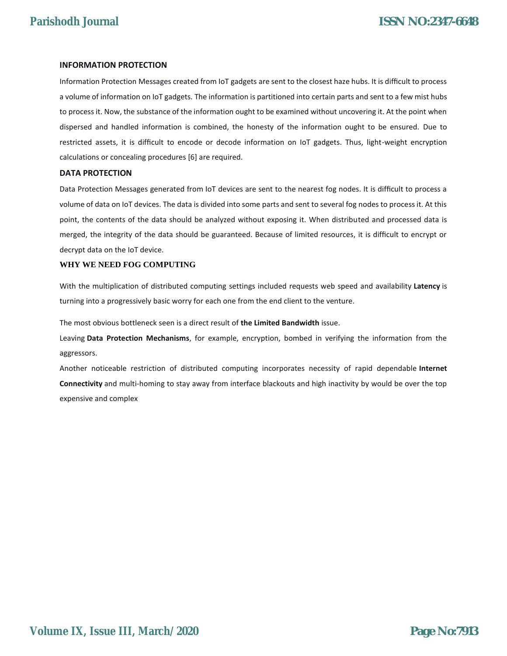#### **INFORMATION PROTECTION**

Information Protection Messages created from IoT gadgets are sent to the closest haze hubs. It is difficult to process a volume of information on IoT gadgets. The information is partitioned into certain parts and sent to a few mist hubs to process it. Now, the substance of the information ought to be examined without uncovering it. At the point when dispersed and handled information is combined, the honesty of the information ought to be ensured. Due to restricted assets, it is difficult to encode or decode information on IoT gadgets. Thus, light-weight encryption calculations or concealing procedures [6] are required.

#### **DATA PROTECTION**

Data Protection Messages generated from IoT devices are sent to the nearest fog nodes. It is difficult to process a volume of data on IoT devices. The data is divided into some parts and sent to several fog nodes to process it. At this point, the contents of the data should be analyzed without exposing it. When distributed and processed data is merged, the integrity of the data should be guaranteed. Because of limited resources, it is difficult to encrypt or decrypt data on the IoT device.

#### **WHY WE NEED FOG COMPUTING**

With the multiplication of distributed computing settings included requests web speed and availability **Latency** is turning into a progressively basic worry for each one from the end client to the venture.

The most obvious bottleneck seen is a direct result of **the Limited Bandwidth** issue.

Leaving **Data Protection Mechanisms**, for example, encryption, bombed in verifying the information from the aggressors.

Another noticeable restriction of distributed computing incorporates necessity of rapid dependable **Internet Connectivity** and multi-homing to stay away from interface blackouts and high inactivity by would be over the top expensive and complex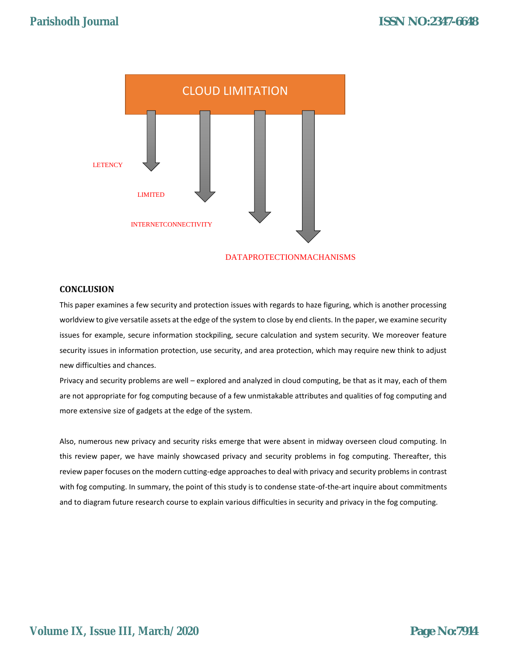

#### **CONCLUSION**

This paper examines a few security and protection issues with regards to haze figuring, which is another processing worldview to give versatile assets at the edge of the system to close by end clients. In the paper, we examine security issues for example, secure information stockpiling, secure calculation and system security. We moreover feature security issues in information protection, use security, and area protection, which may require new think to adjust new difficulties and chances.

Privacy and security problems are well – explored and analyzed in cloud computing, be that as it may, each of them are not appropriate for fog computing because of a few unmistakable attributes and qualities of fog computing and more extensive size of gadgets at the edge of the system.

Also, numerous new privacy and security risks emerge that were absent in midway overseen cloud computing. In this review paper, we have mainly showcased privacy and security problems in fog computing. Thereafter, this review paper focuses on the modern cutting-edge approaches to deal with privacy and security problems in contrast with fog computing. In summary, the point of this study is to condense state-of-the-art inquire about commitments and to diagram future research course to explain various difficulties in security and privacy in the fog computing.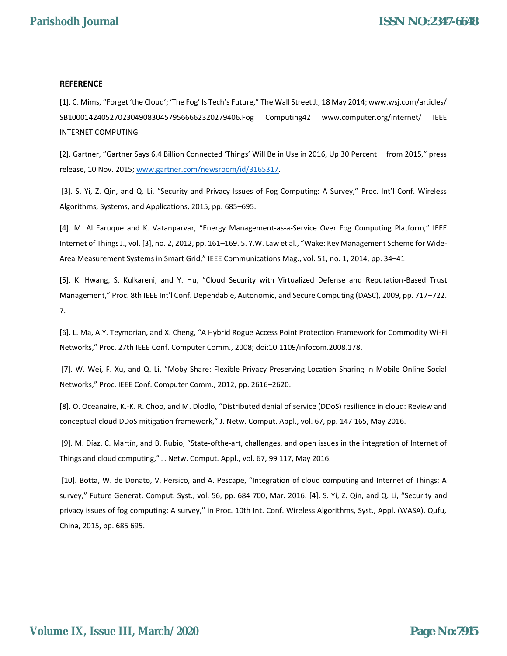### **REFERENCE**

[1]. C. Mims, "Forget 'the Cloud'; 'The Fog' Is Tech's Future," The Wall Street J., 18 May 2014; www.wsj.com/articles/ SB10001424052702304908304579566662320279406.Fog Computing42 www.computer.org/internet/ IEEE INTERNET COMPUTING

[2]. Gartner, "Gartner Says 6.4 Billion Connected 'Things' Will Be in Use in 2016, Up 30 Percent from 2015," press release, 10 Nov. 2015; www.gartner.com/newsroom/id/3165317.

[3]. S. Yi, Z. Qin, and Q. Li, "Security and Privacy Issues of Fog Computing: A Survey," Proc. Int'l Conf. Wireless Algorithms, Systems, and Applications, 2015, pp. 685–695.

[4]. M. Al Faruque and K. Vatanparvar, "Energy Management-as-a-Service Over Fog Computing Platform," IEEE Internet of Things J., vol. [3], no. 2, 2012, pp. 161–169. 5. Y.W. Law et al., "Wake: Key Management Scheme for Wide-Area Measurement Systems in Smart Grid," IEEE Communications Mag., vol. 51, no. 1, 2014, pp. 34–41

[5]. K. Hwang, S. Kulkareni, and Y. Hu, "Cloud Security with Virtualized Defense and Reputation-Based Trust Management," Proc. 8th IEEE Int'l Conf. Dependable, Autonomic, and Secure Computing (DASC), 2009, pp. 717–722. 7.

[6]. L. Ma, A.Y. Teymorian, and X. Cheng, "A Hybrid Rogue Access Point Protection Framework for Commodity Wi-Fi Networks," Proc. 27th IEEE Conf. Computer Comm., 2008; doi:10.1109/infocom.2008.178.

[7]. W. Wei, F. Xu, and Q. Li, "Moby Share: Flexible Privacy Preserving Location Sharing in Mobile Online Social Networks," Proc. IEEE Conf. Computer Comm., 2012, pp. 2616–2620.

[8]. O. Oceanaire, K.-K. R. Choo, and M. Dlodlo, "Distributed denial of service (DDoS) resilience in cloud: Review and conceptual cloud DDoS mitigation framework," J. Netw. Comput. Appl., vol. 67, pp. 147 165, May 2016.

[9]. M. Díaz, C. Martín, and B. Rubio, "State-ofthe-art, challenges, and open issues in the integration of Internet of Things and cloud computing," J. Netw. Comput. Appl., vol. 67, 99 117, May 2016.

[10]. Botta, W. de Donato, V. Persico, and A. Pescapé, "Integration of cloud computing and Internet of Things: A survey," Future Generat. Comput. Syst., vol. 56, pp. 684 700, Mar. 2016. [4]. S. Yi, Z. Qin, and Q. Li, "Security and privacy issues of fog computing: A survey," in Proc. 10th Int. Conf. Wireless Algorithms, Syst., Appl. (WASA), Qufu, China, 2015, pp. 685 695.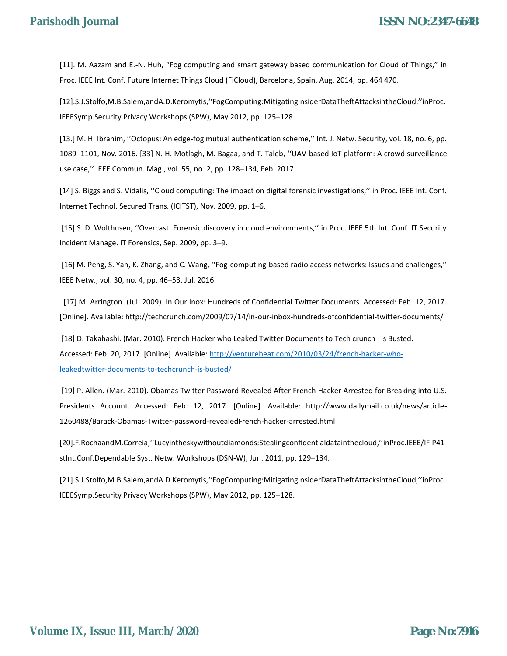[11]. M. Aazam and E.-N. Huh, "Fog computing and smart gateway based communication for Cloud of Things," in Proc. IEEE Int. Conf. Future Internet Things Cloud (FiCloud), Barcelona, Spain, Aug. 2014, pp. 464 470.

[12].S.J.Stolfo,M.B.Salem,andA.D.Keromytis,''FogComputing:MitigatingInsiderDataTheftAttacksintheCloud,''inProc. IEEESymp.Security Privacy Workshops (SPW), May 2012, pp. 125–128.

[13.] M. H. Ibrahim, ''Octopus: An edge-fog mutual authentication scheme,'' Int. J. Netw. Security, vol. 18, no. 6, pp. 1089–1101, Nov. 2016. [33] N. H. Motlagh, M. Bagaa, and T. Taleb, ''UAV-based IoT platform: A crowd surveillance use case,'' IEEE Commun. Mag., vol. 55, no. 2, pp. 128–134, Feb. 2017.

[14] S. Biggs and S. Vidalis, ''Cloud computing: The impact on digital forensic investigations,'' in Proc. IEEE Int. Conf. Internet Technol. Secured Trans. (ICITST), Nov. 2009, pp. 1–6.

[15] S. D. Wolthusen, ''Overcast: Forensic discovery in cloud environments,'' in Proc. IEEE 5th Int. Conf. IT Security Incident Manage. IT Forensics, Sep. 2009, pp. 3–9.

[16] M. Peng, S. Yan, K. Zhang, and C. Wang, ''Fog-computing-based radio access networks: Issues and challenges,'' IEEE Netw., vol. 30, no. 4, pp. 46–53, Jul. 2016.

 [17] M. Arrington. (Jul. 2009). In Our Inox: Hundreds of Confidential Twitter Documents. Accessed: Feb. 12, 2017. [Online]. Available: http://techcrunch.com/2009/07/14/in-our-inbox-hundreds-ofconfidential-twitter-documents/

[18] D. Takahashi. (Mar. 2010). French Hacker who Leaked Twitter Documents to Tech crunch is Busted. Accessed: Feb. 20, 2017. [Online]. Available: http://venturebeat.com/2010/03/24/french-hacker-wholeakedtwitter-documents-to-techcrunch-is-busted/

[19] P. Allen. (Mar. 2010). Obamas Twitter Password Revealed After French Hacker Arrested for Breaking into U.S. Presidents Account. Accessed: Feb. 12, 2017. [Online]. Available: http://www.dailymail.co.uk/news/article-1260488/Barack-Obamas-Twitter-password-revealedFrench-hacker-arrested.html

[20].F.RochaandM.Correia,''Lucyintheskywithoutdiamonds:Stealingconfidentialdatainthecloud,''inProc.IEEE/IFIP41 stInt.Conf.Dependable Syst. Netw. Workshops (DSN-W), Jun. 2011, pp. 129–134.

[21].S.J.Stolfo,M.B.Salem,andA.D.Keromytis,''FogComputing:MitigatingInsiderDataTheftAttacksintheCloud,''inProc. IEEESymp.Security Privacy Workshops (SPW), May 2012, pp. 125–128.